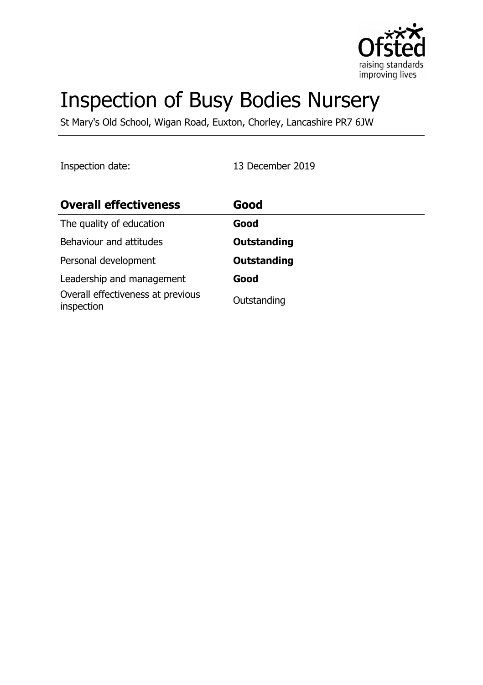

# Inspection of Busy Bodies Nursery

St Mary's Old School, Wigan Road, Euxton, Chorley, Lancashire PR7 6JW

Inspection date: 13 December 2019

| <b>Overall effectiveness</b>                    | Good               |
|-------------------------------------------------|--------------------|
| The quality of education                        | Good               |
| Behaviour and attitudes                         | <b>Outstanding</b> |
| Personal development                            | <b>Outstanding</b> |
| Leadership and management                       | Good               |
| Overall effectiveness at previous<br>inspection | Outstanding        |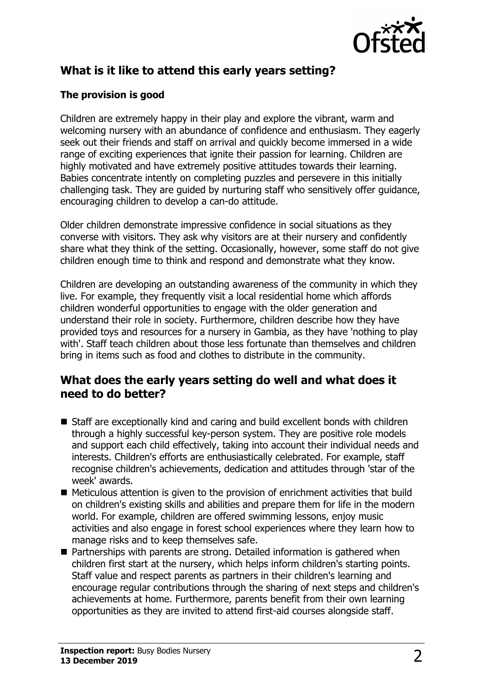

# **What is it like to attend this early years setting?**

### **The provision is good**

Children are extremely happy in their play and explore the vibrant, warm and welcoming nursery with an abundance of confidence and enthusiasm. They eagerly seek out their friends and staff on arrival and quickly become immersed in a wide range of exciting experiences that ignite their passion for learning. Children are highly motivated and have extremely positive attitudes towards their learning. Babies concentrate intently on completing puzzles and persevere in this initially challenging task. They are guided by nurturing staff who sensitively offer guidance, encouraging children to develop a can-do attitude.

Older children demonstrate impressive confidence in social situations as they converse with visitors. They ask why visitors are at their nursery and confidently share what they think of the setting. Occasionally, however, some staff do not give children enough time to think and respond and demonstrate what they know.

Children are developing an outstanding awareness of the community in which they live. For example, they frequently visit a local residential home which affords children wonderful opportunities to engage with the older generation and understand their role in society. Furthermore, children describe how they have provided toys and resources for a nursery in Gambia, as they have 'nothing to play with'. Staff teach children about those less fortunate than themselves and children bring in items such as food and clothes to distribute in the community.

## **What does the early years setting do well and what does it need to do better?**

- Staff are exceptionally kind and caring and build excellent bonds with children through a highly successful key-person system. They are positive role models and support each child effectively, taking into account their individual needs and interests. Children's efforts are enthusiastically celebrated. For example, staff recognise children's achievements, dedication and attitudes through 'star of the week' awards.
- $\blacksquare$  Meticulous attention is given to the provision of enrichment activities that build on children's existing skills and abilities and prepare them for life in the modern world. For example, children are offered swimming lessons, enjoy music activities and also engage in forest school experiences where they learn how to manage risks and to keep themselves safe.
- $\blacksquare$  Partnerships with parents are strong. Detailed information is gathered when children first start at the nursery, which helps inform children's starting points. Staff value and respect parents as partners in their children's learning and encourage regular contributions through the sharing of next steps and children's achievements at home. Furthermore, parents benefit from their own learning opportunities as they are invited to attend first-aid courses alongside staff.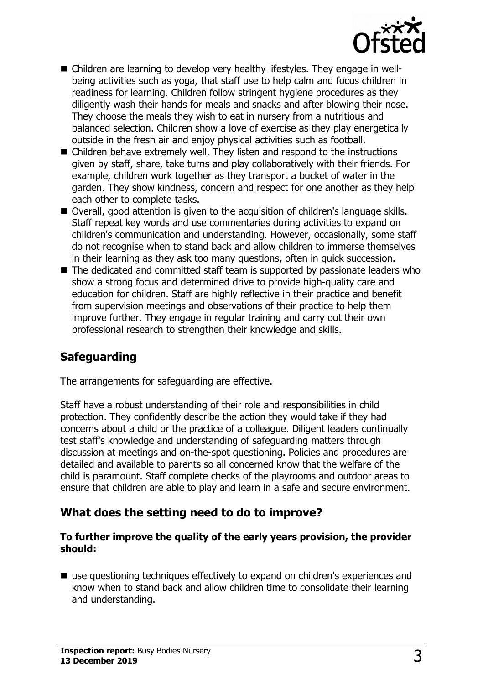

- Children are learning to develop very healthy lifestyles. They engage in wellbeing activities such as yoga, that staff use to help calm and focus children in readiness for learning. Children follow stringent hygiene procedures as they diligently wash their hands for meals and snacks and after blowing their nose. They choose the meals they wish to eat in nursery from a nutritious and balanced selection. Children show a love of exercise as they play energetically outside in the fresh air and enjoy physical activities such as football.
- $\blacksquare$  Children behave extremely well. They listen and respond to the instructions given by staff, share, take turns and play collaboratively with their friends. For example, children work together as they transport a bucket of water in the garden. They show kindness, concern and respect for one another as they help each other to complete tasks.
- Overall, good attention is given to the acquisition of children's language skills. Staff repeat key words and use commentaries during activities to expand on children's communication and understanding. However, occasionally, some staff do not recognise when to stand back and allow children to immerse themselves in their learning as they ask too many questions, often in quick succession.
- $\blacksquare$  The dedicated and committed staff team is supported by passionate leaders who show a strong focus and determined drive to provide high-quality care and education for children. Staff are highly reflective in their practice and benefit from supervision meetings and observations of their practice to help them improve further. They engage in regular training and carry out their own professional research to strengthen their knowledge and skills.

## **Safeguarding**

The arrangements for safeguarding are effective.

Staff have a robust understanding of their role and responsibilities in child protection. They confidently describe the action they would take if they had concerns about a child or the practice of a colleague. Diligent leaders continually test staff's knowledge and understanding of safeguarding matters through discussion at meetings and on-the-spot questioning. Policies and procedures are detailed and available to parents so all concerned know that the welfare of the child is paramount. Staff complete checks of the playrooms and outdoor areas to ensure that children are able to play and learn in a safe and secure environment.

## **What does the setting need to do to improve?**

#### **To further improve the quality of the early years provision, the provider should:**

 $\blacksquare$  use questioning techniques effectively to expand on children's experiences and know when to stand back and allow children time to consolidate their learning and understanding.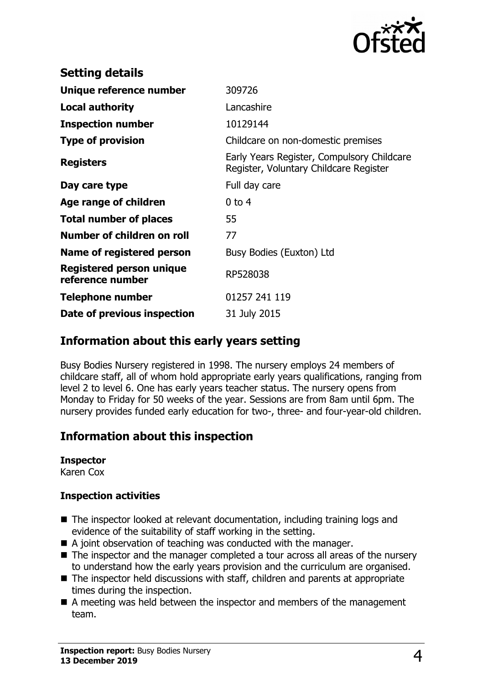

| <b>Setting details</b>                       |                                                                                      |
|----------------------------------------------|--------------------------------------------------------------------------------------|
| Unique reference number                      | 309726                                                                               |
| <b>Local authority</b>                       | Lancashire                                                                           |
| <b>Inspection number</b>                     | 10129144                                                                             |
| <b>Type of provision</b>                     | Childcare on non-domestic premises                                                   |
| <b>Registers</b>                             | Early Years Register, Compulsory Childcare<br>Register, Voluntary Childcare Register |
| Day care type                                | Full day care                                                                        |
| Age range of children                        | $0$ to 4                                                                             |
| <b>Total number of places</b>                | 55                                                                                   |
| Number of children on roll                   | 77                                                                                   |
| Name of registered person                    | Busy Bodies (Euxton) Ltd                                                             |
| Registered person unique<br>reference number | RP528038                                                                             |
| Telephone number                             | 01257 241 119                                                                        |
| Date of previous inspection                  | 31 July 2015                                                                         |

# **Information about this early years setting**

Busy Bodies Nursery registered in 1998. The nursery employs 24 members of childcare staff, all of whom hold appropriate early years qualifications, ranging from level 2 to level 6. One has early years teacher status. The nursery opens from Monday to Friday for 50 weeks of the year. Sessions are from 8am until 6pm. The nursery provides funded early education for two-, three- and four-year-old children.

# **Information about this inspection**

# **Inspector**

Karen Cox

#### **Inspection activities**

- $\blacksquare$  The inspector looked at relevant documentation, including training logs and evidence of the suitability of staff working in the setting.
- $\blacksquare$  A joint observation of teaching was conducted with the manager.
- $\blacksquare$  The inspector and the manager completed a tour across all areas of the nursery to understand how the early years provision and the curriculum are organised.
- $\blacksquare$  The inspector held discussions with staff, children and parents at appropriate times during the inspection.
- $\blacksquare$  A meeting was held between the inspector and members of the management team.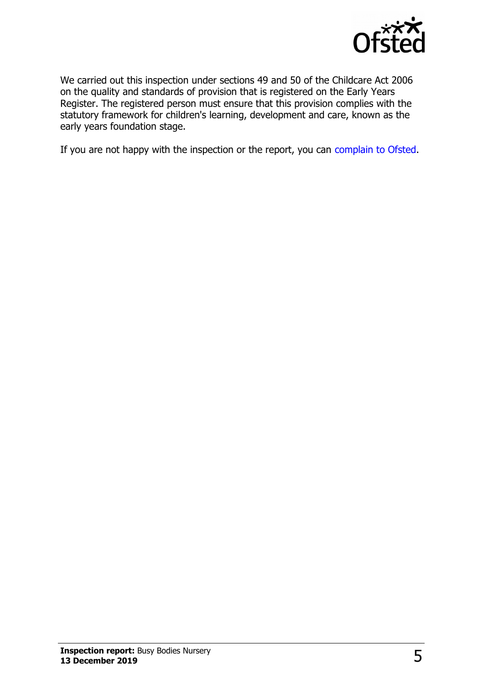

We carried out this inspection under sections 49 and 50 of the Childcare Act 2006 on the quality and standards of provision that is registered on the Early Years Register. The registered person must ensure that this provision complies with the statutory framework for children's learning, development and care, known as the early years foundation stage.

If you are not happy with the inspection or the report, you can [complain to Ofsted.](http://www.gov.uk/complain-ofsted-report)